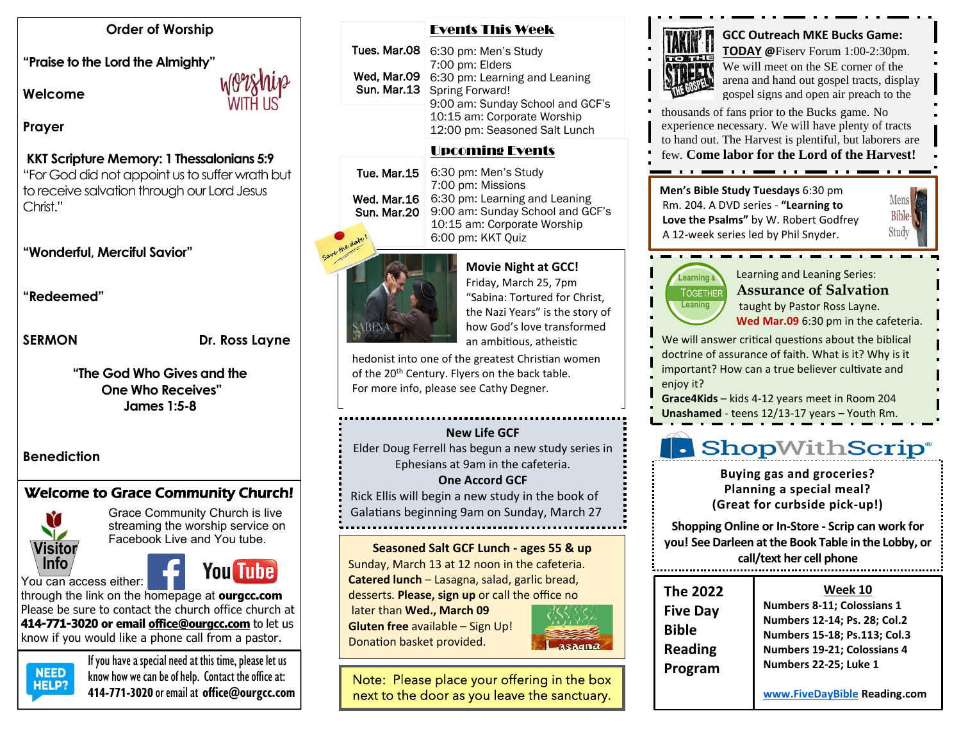#### **Order of Worship**

**"Praise to the Lord the Almighty"** 

**Welcome** 

## **Prayer**

#### **KKT Scripture Memory: 1 Thessalonians 5:9**

"For God did not appoint us to suffer wrath but to receive salvation through our Lord Jesus Christ."

### **"Wonderful, Merciful Savior"**

**"Redeemed"**

SERMON Dr. Ross Layne

**"The God Who Gives and the One Who Receives" James 1:5-8**

### **Benediction**

# Welcome to Grace Community Church!



Grace Community Church is live streaming the worship service on Facebook Live and You tube.

### You can access either:



through the link on the homepage at **ourgcc.com**  Please be sure to contact the church office church at **414-771-3020 or email [office@ourgcc.com](mailto:office@ourgcc.com)** to let us know if you would like a phone call from a pastor.



If you have a special need at this time, please let us<br>NEED linew housing see he of help. Content the office of  $R = 1$  know how we can be of help. Contact the office at: **414-771-3020** or email at **[office@ourgcc.com](mailto:office@ourgcc.com)**

#### Events This Week

Tues. Mar.08  $|$  6:30 pm: Men's Study 7:00 pm: Elders 6:30 pm: Learning and Leaning Spring Forward! 9:00 am: Sunday School and GCF's 10:15 am: Corporate Worship 12:00 pm: Seasoned Salt Lunch Wed, Mar.09 Sun. Mar.13

# Upcoming Events

6:30 pm: Men's Study 7:00 pm: Missions Wed. Mar.16 | 6:30 pm: Learning and Leaning 9:00 am: Sunday School and GCF's 10:15 am: Corporate Worship 6:00 pm: KKT Quiz Tue. Mar.15 Sun. Mar.20



# **Example Movie Night at GCC!** Friday, March 25, 7pm

"Sabina: Tortured for Christ, the Nazi Years" is the story of how God's love transformed an ambitious, atheistic

hedonist into one of the greatest Christian women of the 20<sup>th</sup> Century. Flyers on the back table. For more info, please see Cathy Degner.

#### **New Life GCF**

Elder Doug Ferrell has begun a new study series in Ephesians at 9am in the cafeteria.

#### **One Accord GCF**

Rick Ellis will begin a new study in the book of Galatians beginning 9am on Sunday, March 27

**Seasoned Salt GCF Lunch - ages 55 & up** Sunday, March 13 at 12 noon in the cafeteria.

**Catered lunch** – Lasagna, salad, garlic bread, desserts. **Please, sign up** or call the office no

later than **Wed., March 09 Gluten free** available – Sign Up! Donation basket provided.



Note: Please place your offering in the box next to the door as you leave the sanctuary.



**GCC Outreach MKE Bucks Game: TODAY @**Fiserv Forum 1:00-2:30pm. We will meet on the SE corner of the arena and hand out gospel tracts, display gospel signs and open air preach to the

thousands of fans prior to the Bucks game. No experience necessary. We will have plenty of tracts to hand out. The Harvest is plentiful, but laborers are few. **Come labor for the Lord of the Harvest!**

. . . <del>. . .</del> . . . . . . . .

**Men's Bible Study Tuesdays** 6:30 pm Rm. 204. A DVD series - **"Learning to Love the Psalms"** by W. Robert Godfrey A 12-week series led by Phil Snyder.



TOGETHER **Learning Leaning** 

Learning and Leaning Series: **Assurance of Salvation** taught by Pastor Ross Layne.

**Wed Mar.09** 6:30 pm in the cafeteria.

We will answer critical questions about the biblical doctrine of assurance of faith. What is it? Why is it important? How can a true believer cultivate and enjoy it?

**Grace4Kids** – kids 4-12 years meet in Room 204 **Unashamed** - teens 12/13-17 years – Youth Rm.

# **.** ShopWithScrip®

**Buying gas and groceries? Planning a special meal? (Great for curbside pick-up!)**

**Shopping Online or In-Store - Scrip can work for you! See Darleen at the Book Table in the Lobby, or call/text her cell phone**

|    | <b>The 2022</b> |
|----|-----------------|
|    | <b>Five Day</b> |
|    | <b>Bible</b>    |
| ۱a | <b>Reading</b>  |
|    | Program         |

#### **Week 10**

**The 2022**  <u>Week 10</u> **ive Day** | Numbers 8-11; Colossians 1 **Plus, they may be very may be plus they may be plus they may be very matter with**  $\frac{1}{2}$  **Numbers 12-14; Ps. 28; Col.2 e h numbers 15-18; Ps.113; Col.3 Reading Numbers** 19-21; Colossians 4 **ram Rumbers 22-25; Luke 1** 

purchased. **[www.FiveDayBible](http://www.fivedaybible/) Reading.com See Darleen at the Book Table in the Lobby, or**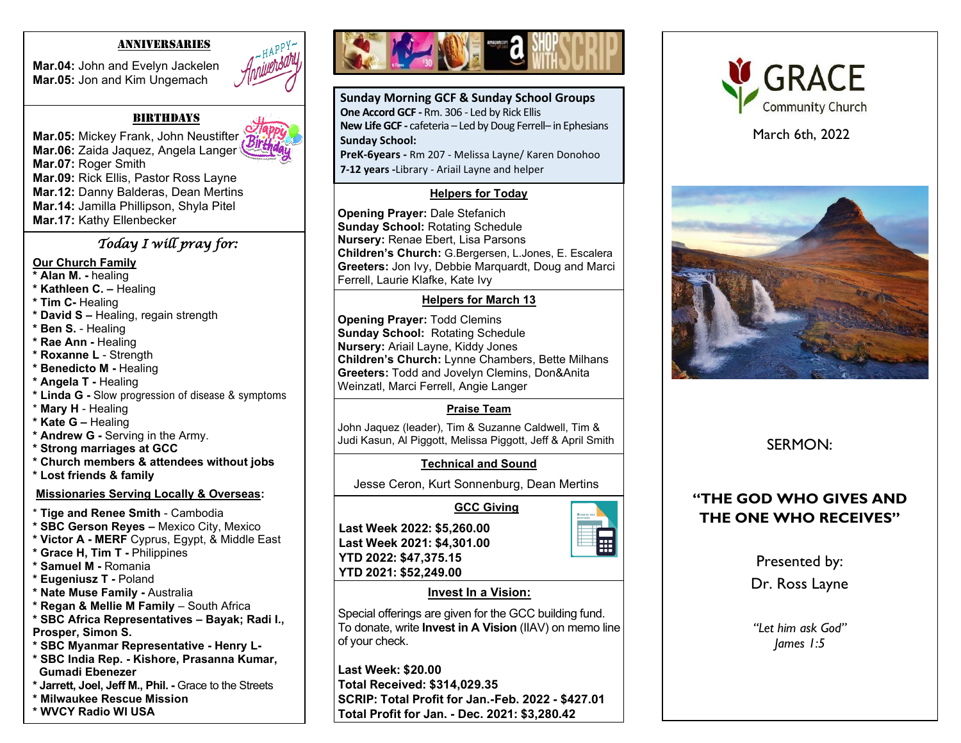#### ANNIVERSARIES

**Mar.04:** John and Evelyn Jackelen **Mar.05:** Jon and Kim Ungemach



#### **BIRTHDAYS**

**Mar.05: Mickey Frank, John Neustifter Mar.06:** Zaida Jaquez, Angela Langer **Mar.07:** Roger Smith **Mar.09:** Rick Ellis, Pastor Ross Layne **Mar.12:** Danny Balderas, Dean Mertins **Mar.14:** Jamilla Phillipson, Shyla Pitel **Mar.17:** Kathy Ellenbecker

## *Today I will pray for:*

#### **Our Church Family**

- **\* Alan M. -** healing
- **\* Kathleen C. –** Healing
- **\* Tim C-** Healing
- **\* David S –** Healing, regain strength
- **\* Ben S.** Healing
- **\* Rae Ann -** Healing
- **\* Roxanne L**  Strength
- **\* Benedicto M -** Healing
- **\* Angela T -** Healing
- **\* Linda G -** Slow progression of disease & symptoms
- \* **Mary H**  Healing
- **\* Kate G –** Healing
- **\* Andrew G -** Serving in the Army.
- **\* Strong marriages at GCC**
- **\* Church members & attendees without jobs**
- **\* Lost friends & family**

#### **Missionaries Serving Locally & Overseas:**

- \* **Tige and Renee Smith** Cambodia
- **\* SBC Gerson Reyes –** Mexico City, Mexico
- **\* Victor A - MERF** Cyprus, Egypt, & Middle East
- **\* Grace H, Tim T -** Philippines
- **\* Samuel M -** Romania
- **\* Eugeniusz T -** Poland
- **\* Nate Muse Family -** Australia
- **\* Regan & Mellie M Family**  South Africa
- **\* SBC Africa Representatives – Bayak; Radi I., Prosper, Simon S.**
- **\* SBC Myanmar Representative - Henry L-**
- **\* SBC India Rep. - Kishore, Prasanna Kumar, Gumadi Ebenezer**
- **\* Jarrett, Joel, Jeff M., Phil. -** Grace to the Streets
- **\* Milwaukee Rescue Mission \* WVCY Radio WI USA**





**Sunday Morning GCF & Sunday School Groups One Accord GCF -** Rm. 306 - Led by Rick Ellis **New Life GCF -** cafeteria – Led by Doug Ferrell– in Ephesians **Sunday School:**

**PreK-6years -** Rm 207 - Melissa Layne/ Karen Donohoo **7-12 years -**Library - Ariail Layne and helper

#### **Helpers for Today**

**Opening Prayer:** Dale Stefanich **Sunday School:** Rotating Schedule **Nursery:** Renae Ebert, Lisa Parsons **Children's Church:** G.Bergersen, L.Jones, E. Escalera **Greeters:** Jon Ivy, Debbie Marquardt, Doug and Marci Ferrell, Laurie Klafke, Kate Ivy

#### **Helpers for March 13**

 **Greeters:** Todd and Jovelyn Clemins, Don&Anita **Opening Prayer:** Todd Clemins **Sunday School:** Rotating Schedule **Nursery:** Ariail Layne, Kiddy Jones **Children's Church:** Lynne Chambers, Bette Milhans Weinzatl, Marci Ferrell, Angie Langer

### **Praise Team**

John Jaquez (leader), Tim & Suzanne Caldwell, Tim & Judi Kasun, Al Piggott, Melissa Piggott, Jeff & April Smith

### **Technical and Sound**

Jesse Ceron, Kurt Sonnenburg, Dean Mertins

# 畐

**Last Week 2021: \$4,301.00 YTD 2022: \$47,375.15 YTD 2021: \$52,249.00**

**Last Week 2022: \$5,260.00**

### **Invest In a Vision:**

Special offerings are given for the GCC building fund. To donate, write **Invest in A Vision** (IIAV) on memo line of your check.

**Last Week: \$20.00 Total Received: \$314,029.35 SCRIP: Total Profit for Jan.-Feb. 2022 - \$427.01 Total Profit for Jan. - Dec. 2021: \$3,280.42**



March 6th, 2022



# SERMON:

# **"THE GOD WHO GIVES AND THE ONE WHO RECEIVES"**

Presented by:

Dr. Ross Layne

*"Let him ask God" James 1:5*